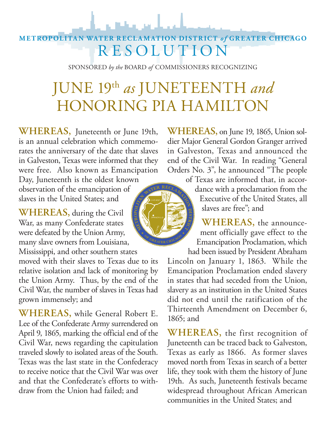## **METROPOLITAN WATER RECLAMATION DISTRICT** *of* **GREATER CHICAGO** RESOLUTION

SPONSORED *by the* BOARD *of* COMMISSIONERS RECOGNIZING

## JUNE 19th *as* JUNETEENTH *and* HONORING PIA HAMILTON

**WHEREAS,** Juneteenth or June 19th, is an annual celebration which commemorates the anniversary of the date that slaves in Galveston, Texas were informed that they were free. Also known as Emancipation Day, Juneteenth is the oldest known

observation of the emancipation of slaves in the United States; and

**WHEREAS,** during the Civil War, as many Confederate states were defeated by the Union Army, many slave owners from Louisiana, Mississippi, and other southern states

moved with their slaves to Texas due to its relative isolation and lack of monitoring by the Union Army. Thus, by the end of the Civil War, the number of slaves in Texas had grown immensely; and

**WHEREAS,** while General Robert E. Lee of the Confederate Army surrendered on April 9, 1865, marking the official end of the Civil War, news regarding the capitulation traveled slowly to isolated areas of the South. Texas was the last state in the Confederacy to receive notice that the Civil War was over and that the Confederate's efforts to withdraw from the Union had failed; and

**WHEREAS,** on June 19, 1865, Union soldier Major General Gordon Granger arrived in Galveston, Texas and announced the end of the Civil War. In reading "General Orders No. 3", he announced "The people

of Texas are informed that, in accordance with a proclamation from the Executive of the United States, all slaves are free"; and

**WHEREAS,** the announcement officially gave effect to the Emancipation Proclamation, which had been issued by President Abraham

Lincoln on January 1, 1863. While the Emancipation Proclamation ended slavery in states that had seceded from the Union, slavery as an institution in the United States did not end until the ratification of the Thirteenth Amendment on December 6, 1865; and

**WHEREAS,** the first recognition of Juneteenth can be traced back to Galveston, Texas as early as 1866. As former slaves moved north from Texas in search of a better life, they took with them the history of June 19th. As such, Juneteenth festivals became widespread throughout African American communities in the United States; and